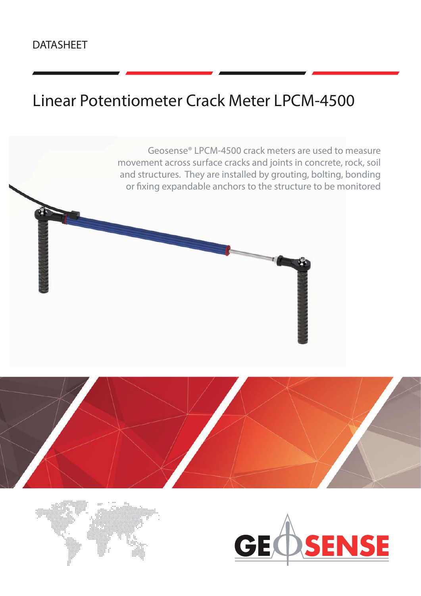### DATASHEET

# Linear Potentiometer Crack Meter LPCM-4500

Geosense® LPCM-4500 crack meters are used to measure movement across surface cracks and joints in concrete, rock, soil and structures. They are installed by grouting, bolting, bonding or fixing expandable anchors to the structure to be monitored





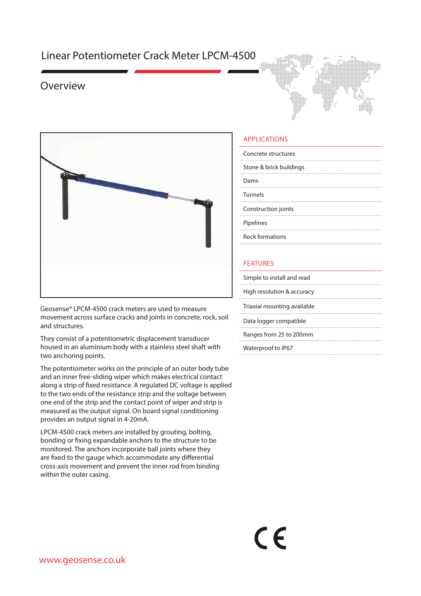### Linear Potentiometer Crack Meter LPCM-4500

### Overview





Geosense® LPCM-4500 crack meters are used to measure movement across surface cracks and joints in concrete, rock, soil and structures.

They consist of a potentiometric displacement transducer housed in an aluminium body with a stainless steel shaft with two anchoring points.

The potentiometer works on the principle of an outer body tube and an inner free-sliding wiper which makes electrical contact along a strip of fixed resistance. A regulated DC voltage is applied to the two ends of the resistance strip and the voltage between one end of the strip and the contact point of wiper and strip is measured as the output signal. On board signal conditioning provides an output signal in 4-20mA.

LPCM-4500 crack meters are installed by grouting, bolting, bonding or fixing expandable anchors to the structure to be monitored. The anchors incorporate ball joints where they are fixed to the gauge which accommodate any differential cross-axis movement and prevent the inner rod from binding within the outer casing.

#### APPLICATIONS

| Concrete structures     |
|-------------------------|
| Stone & brick buildings |
| Dams                    |
| <b>Tunnels</b>          |
| Construction joints     |
| Pipelines               |
| <b>Rock formations</b>  |
|                         |

#### FEATURES

Simple to install and read

High resolution & accuracy

Triaxial mounting available

Data logger compatible

Ranges from 25 to 200mm

Waterproof to IP67

 $\epsilon$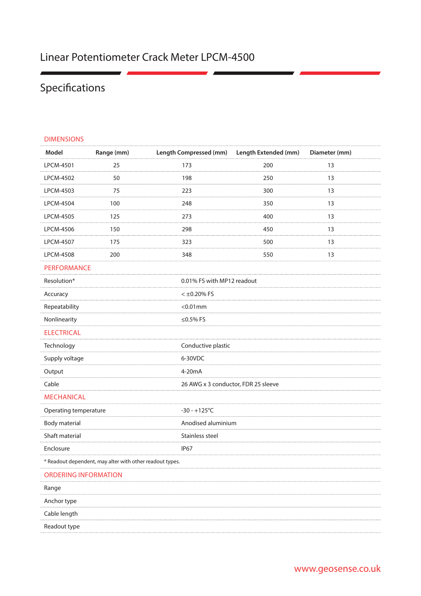### Linear Potentiometer Crack Meter LPCM-4500

## Specifications

| <b>DIMENSIONS</b>           |                                                          |                        |                                     |               |  |
|-----------------------------|----------------------------------------------------------|------------------------|-------------------------------------|---------------|--|
| Model                       | Range (mm)                                               | Length Compressed (mm) | Length Extended (mm)                | Diameter (mm) |  |
| LPCM-4501                   | 25                                                       | 173                    | 200                                 | 13            |  |
| LPCM-4502                   | 50                                                       | 198                    | 250                                 | 13            |  |
| LPCM-4503                   | 75                                                       | 223                    | 300                                 | 13            |  |
| <b>LPCM-4504</b>            | 100                                                      | 248                    | 350                                 | 13            |  |
| LPCM-4505                   | 125                                                      | 273                    | 400                                 | 13            |  |
| LPCM-4506                   | 150                                                      | 298                    | 450                                 | 13            |  |
| <b>LPCM-4507</b>            | 175                                                      | 323                    | 500                                 | 13            |  |
| <b>LPCM-4508</b>            | 200                                                      | 348                    | 550                                 | 13            |  |
| <b>PERFORMANCE</b>          |                                                          |                        |                                     |               |  |
| Resolution*                 |                                                          |                        | 0.01% FS with MP12 readout          |               |  |
| Accuracy                    |                                                          | $<$ ±0.20% FS          |                                     |               |  |
| Repeatability               |                                                          | $<$ 0.01 $mm$          |                                     |               |  |
| Nonlinearity                |                                                          | $≤0.5\%$ FS            |                                     |               |  |
| <b>ELECTRICAL</b>           |                                                          |                        |                                     |               |  |
| Technology                  |                                                          | Conductive plastic     |                                     |               |  |
| Supply voltage              |                                                          | 6-30VDC                |                                     |               |  |
| Output                      |                                                          | 4-20mA                 |                                     |               |  |
| Cable                       |                                                          |                        | 26 AWG x 3 conductor, FDR 25 sleeve |               |  |
| <b>MECHANICAL</b>           |                                                          |                        |                                     |               |  |
| Operating temperature       |                                                          | $-30 - +125$ °C        |                                     |               |  |
| Body material               |                                                          |                        | Anodised aluminium                  |               |  |
| Shaft material              |                                                          | Stainless steel        |                                     |               |  |
| Enclosure                   |                                                          | IP <sub>67</sub>       |                                     |               |  |
|                             | * Readout dependent, may alter with other readout types. |                        |                                     |               |  |
| <b>ORDERING INFORMATION</b> |                                                          |                        |                                     |               |  |
| Range                       |                                                          |                        |                                     |               |  |
| Anchor type                 |                                                          |                        |                                     |               |  |
| Cable length                |                                                          |                        |                                     |               |  |
| Readout type                |                                                          |                        |                                     |               |  |